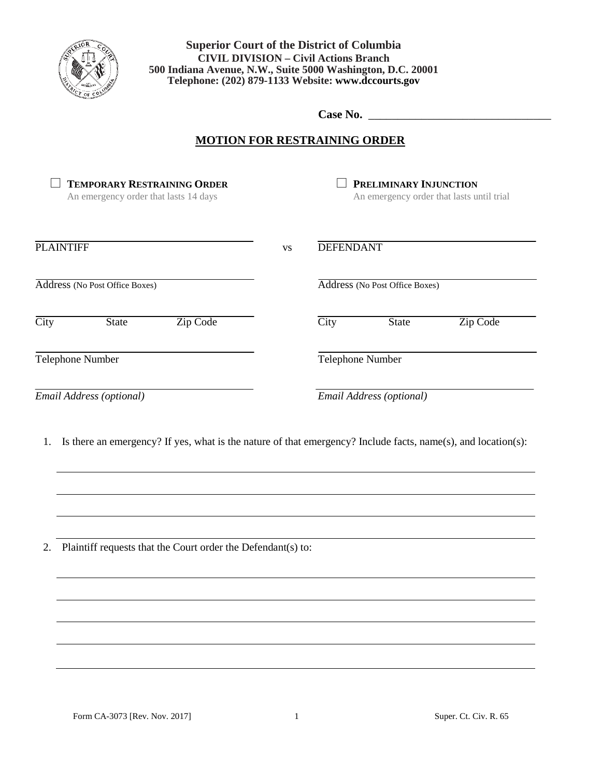

**Washington, D.C. 20001 Telephone: 879-1133 500 Indiana Avenue, N.W., Suite 5000 Washington, D.C. 20001 Superior Court of the District of Columbia CIVIL DIVISION – Civil Actions Branch Telephone: (202) 879-1133 Website: www.dccourts.gov**

**Case No.** \_\_\_\_\_\_\_\_\_\_\_\_\_\_\_\_\_\_\_\_\_\_\_\_\_\_\_\_\_\_\_

## **MOTION FOR RESTRAINING ORDER**

| <b>TEMPORARY RESTRAINING ORDER</b><br>An emergency order that lasts 14 days                                         |           |                                | PRELIMINARY INJUNCTION   | An emergency order that lasts until trial |
|---------------------------------------------------------------------------------------------------------------------|-----------|--------------------------------|--------------------------|-------------------------------------------|
| <b>PLAINTIFF</b>                                                                                                    | <b>VS</b> | <b>DEFENDANT</b>               |                          |                                           |
| Address (No Post Office Boxes)                                                                                      |           | Address (No Post Office Boxes) |                          |                                           |
| $\overline{\text{City}}$<br>State<br>Zip Code                                                                       |           | $\overline{City}$              | State                    | Zip Code                                  |
| Telephone Number                                                                                                    |           | Telephone Number               |                          |                                           |
| Email Address (optional)                                                                                            |           |                                | Email Address (optional) |                                           |
| Is there an emergency? If yes, what is the nature of that emergency? Include facts, name(s), and location(s):<br>1. |           |                                |                          |                                           |
| Plaintiff requests that the Court order the Defendant(s) to:                                                        |           |                                |                          |                                           |
|                                                                                                                     |           |                                |                          |                                           |
|                                                                                                                     |           |                                |                          |                                           |
|                                                                                                                     |           |                                |                          |                                           |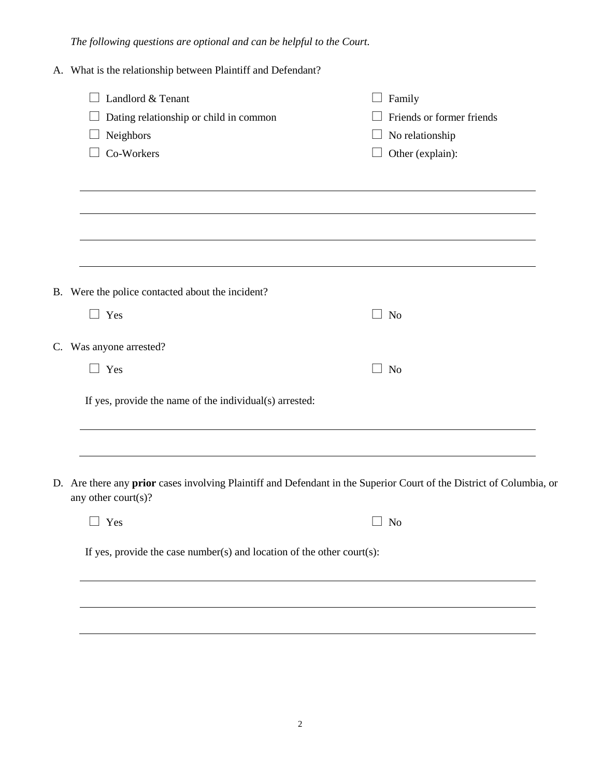*The following questions are optional and can be helpful to the Court.*

| A. What is the relationship between Plaintiff and Defendant?                                  |                                                                                                                      |
|-----------------------------------------------------------------------------------------------|----------------------------------------------------------------------------------------------------------------------|
| $\Box$ Landlord & Tenant<br>Dating relationship or child in common<br>Neighbors<br>Co-Workers | $\Box$ Family<br>Friends or former friends<br>$\Box$ No relationship<br>Other (explain):                             |
|                                                                                               |                                                                                                                      |
| B. Were the police contacted about the incident?                                              |                                                                                                                      |
| $\Box$ Yes                                                                                    | $\Box$ No                                                                                                            |
| C. Was anyone arrested?                                                                       |                                                                                                                      |
| Yes                                                                                           | <b>No</b>                                                                                                            |
| If yes, provide the name of the individual(s) arrested:                                       |                                                                                                                      |
|                                                                                               |                                                                                                                      |
| any other court(s)?                                                                           | D. Are there any prior cases involving Plaintiff and Defendant in the Superior Court of the District of Columbia, or |
| $\Box$ Yes                                                                                    | <b>No</b>                                                                                                            |
| If yes, provide the case number(s) and location of the other court(s):                        |                                                                                                                      |

2

<u> 1989 - Johann Stoff, deutscher Stoffen und der Stoffen und der Stoffen und der Stoffen und der Stoffen und der</u>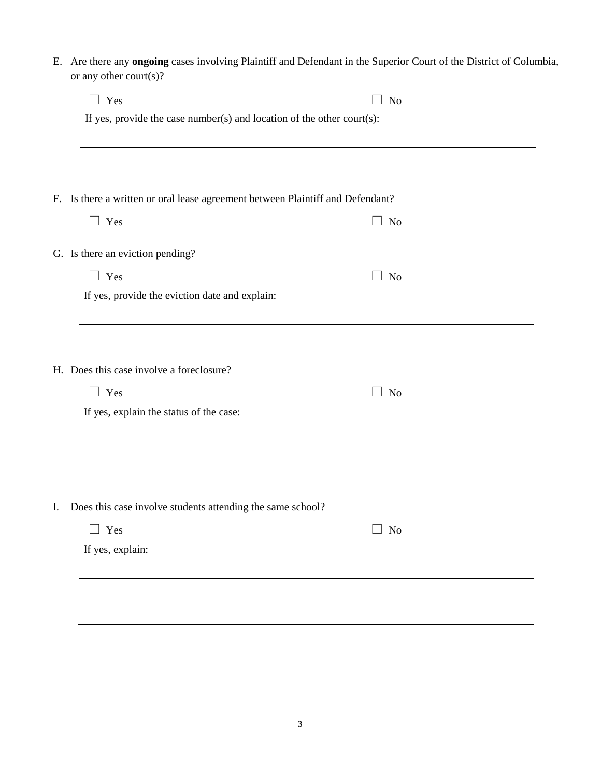E. Are there any **ongoing** cases involving Plaintiff and Defendant in the Superior Court of the District of Columbia, or any other court(s)?

| $\Box$ Yes                                                                     | $\Box$ No |  |  |  |
|--------------------------------------------------------------------------------|-----------|--|--|--|
| If yes, provide the case number(s) and location of the other court(s):         |           |  |  |  |
|                                                                                |           |  |  |  |
|                                                                                |           |  |  |  |
| F. Is there a written or oral lease agreement between Plaintiff and Defendant? |           |  |  |  |
| $\Box$ Yes                                                                     | $\Box$ No |  |  |  |
| G. Is there an eviction pending?                                               |           |  |  |  |
| $\Box$ Yes                                                                     | $\Box$ No |  |  |  |
| If yes, provide the eviction date and explain:                                 |           |  |  |  |
|                                                                                |           |  |  |  |
|                                                                                |           |  |  |  |
| H. Does this case involve a foreclosure?                                       |           |  |  |  |
| $\Box$ Yes                                                                     | No        |  |  |  |
| If yes, explain the status of the case:                                        |           |  |  |  |
|                                                                                |           |  |  |  |
|                                                                                |           |  |  |  |
|                                                                                |           |  |  |  |
| Does this case involve students attending the same school?                     |           |  |  |  |
| $\Box$ Yes                                                                     | $\Box$ No |  |  |  |
| If yes, explain:                                                               |           |  |  |  |
|                                                                                |           |  |  |  |
|                                                                                |           |  |  |  |
|                                                                                |           |  |  |  |